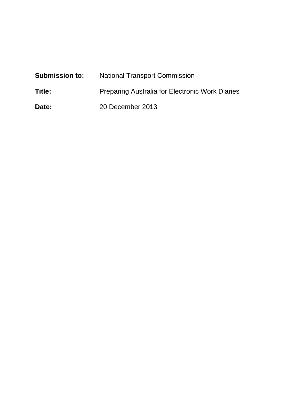| <b>Submission to:</b> | <b>National Transport Commission</b>                   |  |
|-----------------------|--------------------------------------------------------|--|
| Title:                | <b>Preparing Australia for Electronic Work Diaries</b> |  |
| Date:                 | 20 December 2013                                       |  |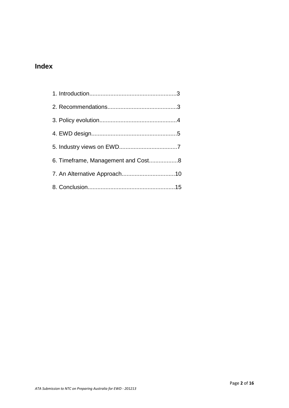# **Index**

| 6. Timeframe, Management and Cost8 |  |
|------------------------------------|--|
|                                    |  |
|                                    |  |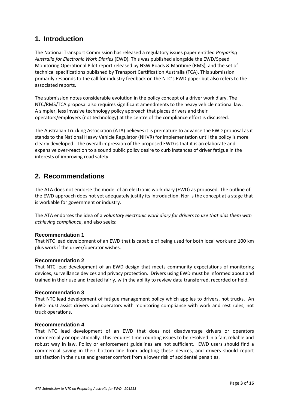## **1. Introduction**

The National Transport Commission has released a regulatory issues paper entitled *Preparing Australia for Electronic Work Diaries* (EWD). This was published alongside the EWD/Speed Monitoring Operational Pilot report released by NSW Roads & Maritime (RMS), and the set of technical specifications published by Transport Certification Australia (TCA). This submission primarily responds to the call for industry feedback on the NTC's EWD paper but also refers to the associated reports.

The submission notes considerable evolution in the policy concept of a driver work diary. The NTC/RMS/TCA proposal also requires significant amendments to the heavy vehicle national law. A simpler, less invasive technology policy approach that places drivers and their operators/employers (not technology) at the centre of the compliance effort is discussed.

The Australian Trucking Association (ATA) believes it is premature to advance the EWD proposal as it stands to the National Heavy Vehicle Regulator (NHVR) for implementation until the policy is more clearly developed. The overall impression of the proposed EWD is that it is an elaborate and expensive over-reaction to a sound public policy desire to curb instances of driver fatigue in the interests of improving road safety.

## **2. Recommendations**

The ATA does not endorse the model of an electronic work diary (EWD) as proposed. The outline of the EWD approach does not yet adequately justify its introduction. Nor is the concept at a stage that is workable for government or industry.

The ATA endorses the idea of a *voluntary electronic work diary for drivers to use that aids them with achieving compliance*, and also seeks:

## **Recommendation 1**

That NTC lead development of an EWD that is capable of being used for both local work and 100 km plus work if the driver/operator wishes.

## **Recommendation 2**

That NTC lead development of an EWD design that meets community expectations of monitoring devices, surveillance devices and privacy protection. Drivers using EWD must be informed about and trained in their use and treated fairly, with the ability to review data transferred, recorded or held.

## **Recommendation 3**

That NTC lead development of fatigue management policy which applies to drivers, not trucks. An EWD must assist drivers and operators with monitoring compliance with work and rest rules, not truck operations.

## **Recommendation 4**

That NTC lead development of an EWD that does not disadvantage drivers or operators commercially or operationally. This requires time counting issues to be resolved in a fair, reliable and robust way in law. Policy or enforcement guidelines are not sufficient. EWD users should find a commercial saving in their bottom line from adopting these devices, and drivers should report satisfaction in their use and greater comfort from a lower risk of accidental penalties.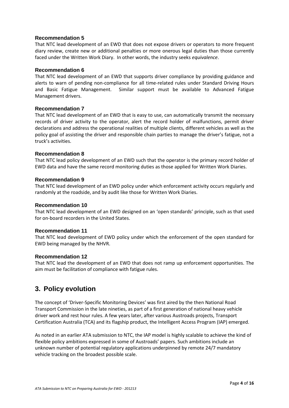### **Recommendation 5**

That NTC lead development of an EWD that does not expose drivers or operators to more frequent diary review, create new or additional penalties or more onerous legal duties than those currently faced under the Written Work Diary. In other words, the industry seeks *equivalence*.

#### **Recommendation 6**

That NTC lead development of an EWD that supports driver compliance by providing guidance and alerts to warn of pending non-compliance for all time-related rules under Standard Driving Hours and Basic Fatigue Management. Similar support must be available to Advanced Fatigue Management drivers.

#### **Recommendation 7**

That NTC lead development of an EWD that is easy to use, can automatically transmit the necessary records of driver activity to the operator, alert the record holder of malfunctions, permit driver declarations and address the operational realities of multiple clients, different vehicles as well as the policy goal of assisting the driver and responsible chain parties to manage the driver's fatigue, not a truck's activities.

#### **Recommendation 8**

That NTC lead policy development of an EWD such that the operator is the primary record holder of EWD data and have the same record monitoring duties as those applied for Written Work Diaries.

#### **Recommendation 9**

That NTC lead development of an EWD policy under which enforcement activity occurs regularly and randomly at the roadside, and by audit like those for Written Work Diaries.

#### **Recommendation 10**

That NTC lead development of an EWD designed on an 'open standards' principle, such as that used for on-board recorders in the United States.

#### **Recommendation 11**

That NTC lead development of EWD policy under which the enforcement of the open standard for EWD being managed by the NHVR.

#### **Recommendation 12**

That NTC lead the development of an EWD that does not ramp up enforcement opportunities. The aim must be facilitation of compliance with fatigue rules.

## **3. Policy evolution**

The concept of 'Driver-Specific Monitoring Devices' was first aired by the then National Road Transport Commission in the late nineties, as part of a first generation of national heavy vehicle driver work and rest hour rules. A few years later, after various Austroads projects, Transport Certification Australia (TCA) and its flagship product, the Intelligent Access Program (IAP) emerged.

As noted in an earlier ATA submission to NTC, the IAP model is highly scalable to achieve the kind of flexible policy ambitions expressed in some of Austroads' papers. Such ambitions include an unknown number of potential regulatory applications underpinned by remote 24/7 mandatory vehicle tracking on the broadest possible scale.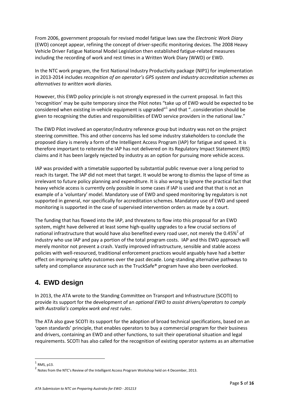From 2006, government proposals for revised model fatigue laws saw the *Electronic Work Diary* (EWD) concept appear, refining the concept of driver-specific monitoring devices. The 2008 Heavy Vehicle Driver Fatigue National Model Legislation then established fatigue-related measures including the recording of work and rest times in a Written Work Diary (WWD) or EWD.

In the NTC work program, the first National Industry Productivity package (NIP1) for implementation in 2013-2014 includes *recognition of an operator's GPS system and industry accreditation schemes as alternatives to written work diaries.*

However, this EWD policy principle is not strongly expressed in the current proposal. In fact this 'recognition' may be quite temporary since the Pilot notes "take up of EWD would be expected to be considered when existing in-vehicle equipment is upgraded" $1$  and that "..consideration should be given to recognising the duties and responsibilities of EWD service providers in the national law."

The EWD Pilot involved an operator/industry reference group but industry was not on the project steering committee. This and other concerns has led some industry stakeholders to conclude the proposed diary is merely a form of the Intelligent Access Program (IAP) for fatigue and speed. It is therefore important to reiterate the IAP has not delivered on its Regulatory Impact Statement (RIS) claims and it has been largely rejected by industry as an option for pursuing more vehicle access.

IAP was provided with a timetable supported by substantial public revenue over a long period to reach its target. The IAP did not meet that target. It would be wrong to dismiss the lapse of time as irrelevant to future policy planning and expenditure. It is also wrong to ignore the practical fact that heavy vehicle access is currently only possible in some cases if IAP is used and that that is not an example of a 'voluntary' model. Mandatory use of EWD and speed monitoring by regulators is not supported in general, nor specifically for accreditation schemes. Mandatory use of EWD and speed monitoring is supported in the case of supervised intervention orders as made by a court.

The funding that has flowed into the IAP, and threatens to flow into this proposal for an EWD system, might have delivered at least some high-quality upgrades to a few crucial sections of national infrastructure that would have also benefited every road user, not merely the 0.45%<sup>2</sup> of industry who use IAP and pay a portion of the total program costs. IAP and this EWD approach will merely monitor not prevent a crash. Vastly improved infrastructure, sensible and stable access policies with well-resourced, traditional enforcement practices would arguably have had a better effect on improving safety outcomes over the past decade. Long-standing alternative pathways to safety and compliance assurance such as the TruckSafe® program have also been overlooked.

## **4. EWD design**

In 2013, the ATA wrote to the Standing Committee on Transport and Infrastructure (SCOTI) to provide its support for the development of an *optional EWD to assist drivers/operators to comply with Australia's complex work and rest rules*.

The ATA also gave SCOTI its support for the adoption of broad technical specifications, based on an 'open standards' principle, that enables operators to buy a commercial program for their business and drivers, containing an EWD and other functions, to suit their operational situation and legal requirements. SCOTI has also called for the recognition of existing operator systems as an alternative

<sup>1</sup> RMS, p13.

<sup>&</sup>lt;sup>2</sup> Notes from the NTC's Review of the Intelligent Access Program Workshop held on 4 December, 2013.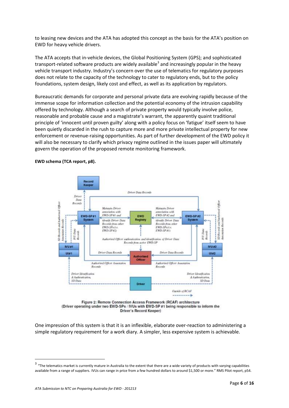to leasing new devices and the ATA has adopted this concept as the basis for the ATA's position on EWD for heavy vehicle drivers.

The ATA accepts that in-vehicle devices, the Global Positioning System (GPS); and sophisticated transport-related software products are widely available<sup>3</sup> and increasingly popular in the heavy vehicle transport industry. Industry's concern over the use of telematics for regulatory purposes does not relate to the capacity of the technology to cater to regulatory ends, but to the policy foundations, system design, likely cost and effect, as well as its application by regulators.

Bureaucratic demands for corporate and personal private data are evolving rapidly because of the immense scope for information collection and the potential economy of the intrusion capability offered by technology. Although a search of private property would typically involve police, reasonable and probable cause and a magistrate's warrant, the apparently quaint traditional principle of 'innocent until proven guilty' along with a policy focus on 'fatigue' itself seem to have been quietly discarded in the rush to capture more and more private intellectual property for new enforcement or revenue-raising opportunities. As part of further development of the EWD policy it will also be necessary to clarify which privacy regime outlined in the issues paper will ultimately govern the operation of the proposed remote monitoring framework.

#### **EWD schema (TCA report, p8).**





One impression of this system is that it is an inflexible, elaborate over-reaction to administering a simple regulatory requirement for a work diary. A simpler, less expensive system is achievable.

 $3\,$  "The telematics market is currently mature in Australia to the extent that there are a wide variety of products with varying capabilities available from a range of suppliers. IVUs can range in price from a few hundred dollars to around \$1,500 or more." RMS Pilot report, p54.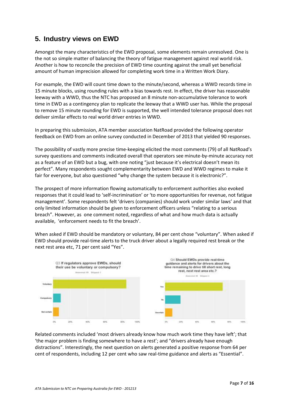## **5. Industry views on EWD**

Amongst the many characteristics of the EWD proposal, some elements remain unresolved. One is the not so simple matter of balancing the theory of fatigue management against real world risk. Another is how to reconcile the precision of EWD time counting against the small yet beneficial amount of human imprecision allowed for completing work time in a Written Work Diary.

For example, the EWD will count time down to the minute/second, whereas a WWD records time in 15 minute blocks, using rounding rules with a bias towards rest. In effect, the driver has reasonable leeway with a WWD, thus the NTC has proposed an 8 minute non-accumulative tolerance to work time in EWD as a contingency plan to replicate the leeway that a WWD user has. While the proposal to remove 15 minute rounding for EWD is supported, the well intended tolerance proposal does not deliver similar effects to real world driver entries in WWD.

In preparing this submission, ATA member association NatRoad provided the following operator feedback on EWD from an online survey conducted in December of 2013 that yielded 90 responses.

The possibility of vastly more precise time-keeping elicited the most comments (79) of all NatRoad's survey questions and comments indicated overall that operators see minute-by-minute accuracy not as a feature of an EWD but a bug, with one noting "just because it's electrical doesn't mean its perfect". Many respondents sought complementarity between EWD and WWD regimes to make it fair for everyone, but also questioned "why change the system because it is electronic?".

The prospect of more information flowing automatically to enforcement authorities also evoked responses that it could lead to 'self-incrimination' or 'to more opportunities for revenue, not fatigue management'. Some respondents felt 'drivers (companies) should work under similar laws' and that only limited information should be given to enforcement officers unless "relating to a serious breach". However, as one comment noted, regardless of what and how much data is actually available, 'enforcement needs to fit the breach'.

When asked if EWD should be mandatory or voluntary, 84 per cent chose "voluntary". When asked if EWD should provide real-time alerts to the truck driver about a legally required rest break or the next rest area etc, 71 per cent said "Yes".



Related comments included 'most drivers already know how much work time they have left'; that 'the major problem is finding somewhere to have a rest'; and "drivers already have enough distractions". Interestingly, the next question on alerts generated a positive response from 64 per cent of respondents, including 12 per cent who saw real-time guidance and alerts as "Essential".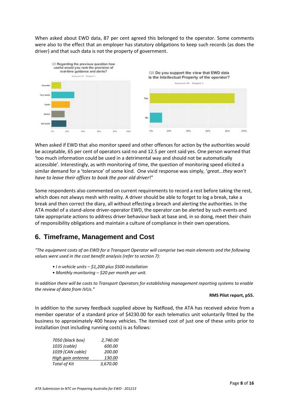When asked about EWD data, 87 per cent agreed this belonged to the operator. Some comments were also to the effect that an employer has statutory obligations to keep such records (as does the driver) and that such data is not the property of government.



When asked if EWD that also monitor speed and other offences for action by the authorities would be acceptable, 65 per cent of operators said no and 12.5 per cent said yes. One person warned that 'too much information could be used in a detrimental way and should not be automatically accessible'. Interestingly, as with monitoring of time, the question of monitoring speed elicited a similar demand for a 'tolerance' of some kind. One vivid response was simply, '*great...they won't have to leave their offices to book the poor old driver*!"

Some respondents also commented on current requirements to record a rest before taking the rest, which does not always mesh with reality. A driver should be able to forget to log a break, take a break and then correct the diary, all without effecting a breach and alerting the authorities. In the ATA model of a stand-alone driver-operator EWD, the operator can be alerted by such events and take appropriate actions to address driver behaviour back at base and*,* in so doing, meet their chain of responsibility obligations and maintain a culture of compliance in their own operations.

# **6. Timeframe, Management and Cost**

*"The equipment costs of an EWD for a Transport Operator will comprise two main elements and the following values were used in the cost benefit analysis (refer to section 7):* 

- *I n-vehicle units – \$1,200 plus \$500 installation*
- *Monthly monitoring – \$20 per month per unit.*

*In addition there will be costs to Transport Operators for establishing management reporting systems to enable the review of data from IVUs."*

#### **RMS Pilot report, p55.**

In addition to the survey feedback supplied above by NatRoad, the ATA has received advice from a member operator of a standard price of \$4230.00 for each telematics unit voluntarily fitted by the business to approximately 400 heavy vehicles. The itemised cost of just one of these units prior to installation (not including running costs) is as follows:

| 7050 (black box)    | 2,740.00 |
|---------------------|----------|
| 1035 (cable)        | 600.00   |
| 1039 (CAN cable)    | 200.00   |
| High gain antenna   | 130.00   |
| <b>Total of Kit</b> | 3,670.00 |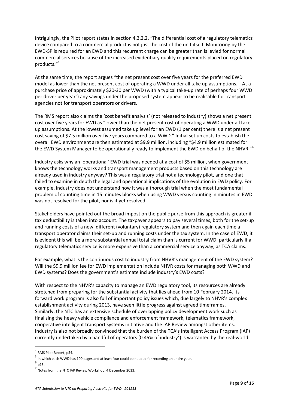Intriguingly, the Pilot report states in section 4.3.2.2, "The differential cost of a regulatory telematics device compared to a commercial product is not just the cost of the unit itself. Monitoring by the EWD-SP is required for an EWD and this recurrent charge can be greater than is levied for normal commercial services because of the increased evidentiary quality requirements placed on regulatory products."<sup>4</sup>

At the same time, the report argues "the net present cost over five years for the preferred EWD model as lower than the net present cost of operating a WWD under all take up assumptions." At a purchase price of approximately \$20-30 per WWD (with a typical take-up rate of perhaps four WWD per driver per year<sup>5</sup>) any savings under the proposed system appear to be realisable for transport agencies not for transport operators or drivers.

The RMS report also claims the 'cost benefit analysis' (not released to industry) shows a net present cost over five years for EWD as "lower than the net present cost of operating a WWD under all take up assumptions. At the lowest assumed take up level for an EWD (1 per cent) there is a net present cost saving of \$7.5 million over five years compared to a WWD." Initial set up costs to establish the overall EWD environment are then estimated at \$9.9 million, including "\$4.9 million estimated for the EWD System Manager to be operationally ready to implement the EWD on behalf of the NHVR."<sup>6</sup>

Industry asks why an 'operational' EWD trial was needed at a cost of \$5 million, when government knows the technology works and transport management products based on this technology are already used in industry anyway? This was a regulatory trial not a technology pilot, and one that failed to examine in depth the legal and operational implications of the evolution in EWD policy. For example, industry does not understand how it was a thorough trial when the most fundamental problem of counting time in 15 minutes blocks when using WWD versus counting in minutes in EWD was not resolved for the pilot, nor is it yet resolved.

Stakeholders have pointed out the broad impost on the public purse from this approach is greater if tax deductibility is taken into account. The taxpayer appears to pay several times, both for the set-up and running costs of a new, different (voluntary) regulatory system and then again each time a transport operator claims their set-up and running costs under the tax system. In the case of EWD, it is evident this will be a more substantial annual total claim than is current for WWD, particularly if a regulatory telematics service is more expensive than a commercial service anyway, as TCA claims.

For example, what is the continuous cost to industry from NHVR's management of the EWD system? Will the \$9.9 million fee for EWD implementation include NHVR costs for managing both WWD and EWD systems? Does the government's estimate include industry's EWD costs?

With respect to the NHVR's capacity to manage an EWD regulatory tool, its resources are already stretched from preparing for the substantial activity that lies ahead from 10 February 2014. Its forward work program is also full of important policy issues which, due largely to NHVR's complex establishment activity during 2013, have seen little progress against agreed timeframes. Similarly, the NTC has an extensive schedule of overlapping policy development work such as finalising the heavy vehicle compliance and enforcement framework, telematics framework, cooperative intelligent transport systems initiative and the IAP Review amongst other items. Industry is also not broadly convinced that the burden of the TCA's Intelligent Access Program (IAP) currently undertaken by a handful of operators (0.45% of industry<sup>7</sup>) is warranted by the real-world

6 p13.

<sup>4</sup> RMS Pilot Report, p54.

<sup>5</sup> In which each WWD has 100 pages and at least four could be needed for recording an entire year.

<sup>&</sup>lt;sup>7</sup> Notes from the NTC IAP Review Workshop, 4 December 2013.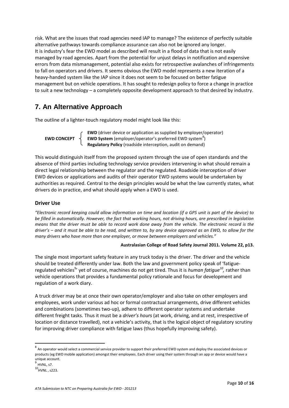risk. What are the issues that road agencies need IAP to manage? The existence of perfectly suitable alternative pathways towards compliance assurance can also not be ignored any longer. It is industry's fear the EWD model as described will result in a flood of data that is not easily managed by road agencies. Apart from the potential for unjust delays in notification and expensive errors from data mismanagement, potential also exists for retrospective avalanches of infringements to fall on operators and drivers. It seems obvious the EWD model represents a new iteration of a heavy-handed system like the IAP since it does not seem to be focused on better fatigue management but on vehicle operations. It has sought to redesign policy to force a change in practice to suit a new technology – a completely opposite development approach to that desired by industry.

## **7. An Alternative Approach**

The outline of a lighter-touch regulatory model might look like this:

**EWD** (driver device or application as supplied by employer/operator) **EWD CONCEPT**  $\left\{\right.$  **EWD System** (employer/operator's preferred EWD system<sup>8</sup>) **Regulatory Policy** (roadside interception, audit on demand)

This would distinguish itself from the proposed system through the use of open standards and the absence of third parties including technology service providers intervening in what should remain a direct legal relationship between the regulator and the regulated. Roadside interception of driver EWD devices or applications and audits of their operator EWD systems would be undertaken by authorities as required. Central to the design principles would be what the law currently states, what drivers do in practice, and what should apply when a EWD is used.

## **Driver Use**

*"Electronic record keeping could allow information on time and location (if a GPS unit is part of the device) to be filled in automatically. However, the fact that working hours, not driving hours, are prescribed in legislation means that the driver must be able to record work done away from the vehicle. The electronic record is the driver's – and it must be able to be read, and written to, by any device approved as an EWD, to allow for the many drivers who have more than one employer, or move between employers and vehicles."* 

#### **Australasian College of Road Safety Journal 2011. Volume 22, p13.**

The single most important safety feature in any truck today is the driver. The driver and the vehicle should be treated differently under law. Both the law and government policy speak of 'fatigueregulated vehicles<sup>9</sup>' yet of course, machines do not get tired. Thus it is *human fatigue<sup>10</sup>,* rather than vehicle operations that provides a fundamental policy rationale and focus for development and regulation of a work diary.

A truck driver may be at once their own operator/employer and also take on other employers and employees, work under various ad hoc or formal contractual arrangements, drive different vehicles and combinations (sometimes two-up), adhere to different operator systems and undertake different freight tasks. Thus it must be a *driver's hours* (at work, driving, and at rest, irrespective of location or distance travelled), not a vehicle's activity, that is the logical object of regulatory scrutiny for improving driver compliance with fatigue laws (thus hopefully improving safety).

 $\overline{\phantom{a}}$ 

<sup>&</sup>lt;sup>8</sup> An operator would select a commercial service provider to support their preferred EWD system and deploy the associated devices or products (eg EWD mobile application) amongst their employees. Each driver using their system through an app or device would have a unique account. 9 HVNL, s7.

 $^{10}$ HVNL, s223.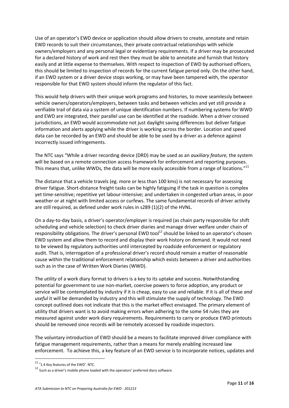Use of an operator's EWD device or application should allow drivers to create, annotate and retain EWD records to suit their circumstances, their private contractual relationships with vehicle owners/employers and any personal legal or evidentiary requirements. If a driver may be prosecuted for a declared history of work and rest then they must be able to annotate and furnish that history easily and at little expense to themselves. With respect to inspection of EWD by authorised officers, this should be limited to inspection of records for the current fatigue period only. On the other hand, if an EWD system or a driver device stops working, or may have been tampered with, the operator responsible for that EWD system should inform the regulator of this fact.

This would help drivers with their unique work programs and histories, to move seamlessly between vehicle owners/operators/employers, between tasks and between vehicles and yet still provide a verifiable trail of data via a system of unique identification numbers. If numbering systems for WWD and EWD are integrated, their parallel use can be identified at the roadside. When a driver crossed jurisdictions, an EWD would accommodate not just daylight saving differences but deliver fatigue information and alerts applying while the driver is working across the border. Location and speed data can be recorded by an EWD and should be able to be used by a driver as a defence against incorrectly issued infringements.

The NTC says "While a driver recording device (DRD) may be used as an *auxiliary feature,* the system will be based on a remote connection access framework for enforcement and reporting purposes. This means that, unlike WWDs, the data will be more easily accessible from a range of locations."<sup>11</sup>

The distance that a vehicle travels (eg. more or less than 100 kms) is not necessary for assessing driver fatigue. Short-distance freight tasks can be highly fatiguing if the task in question is complex yet time-sensitive; repetitive yet labour-intensive; and undertaken in congested urban areas, in poor weather or at night with limited access or curfews. The same fundamental records of driver activity are still required, as defined under work rules in s289 (1)(2) of the HVNL.

On a day-to-day basis, a driver's operator/employer is required (as chain party responsible for shift scheduling and vehicle selection) to check driver diaries and manage driver welfare under chain of responsibility obligations. The driver's personal EWD tool<sup>12</sup> should be linked to an operator's chosen EWD system and allow them to record and display their work history on demand. It would not need to be viewed by regulatory authorities until intercepted by roadside enforcement or regulatory audit. That is, interrogation of a professional driver's record should remain a matter of reasonable cause within the traditional enforcement relationship which exists between a driver and authorities such as in the case of Written Work Diaries (WWD).

The *utility* of a work diary format to drivers is a key to its uptake and success. Notwithstanding potential for government to use non-market, coercive powers to force adoption, any product or service will be contemplated by industry if it is cheap, easy to use and reliable. If it is all of these *and useful* it will be demanded by industry and this will stimulate the supply of technology. The EWD concept outlined does not indicate that this is the market effect envisaged. The primary element of utility that drivers want is to avoid making errors when adhering to the some 54 rules they are measured against under work diary requirements. Requirements to carry or produce EWD printouts should be removed since records will be remotely accessed by roadside inspectors.

The voluntary introduction of EWD should be a means to facilitate improved driver compliance with fatigue management requirements, rather than a means for merely enabling increased law enforcement. To achieve this, a key feature of an EWD service is to incorporate notices, updates and

<sup>&</sup>lt;sup>11</sup> '1.4 Key features of the EWD'. NTC.

 $12$  Such as a driver's mobile phone loaded with the operators' preferred diary software.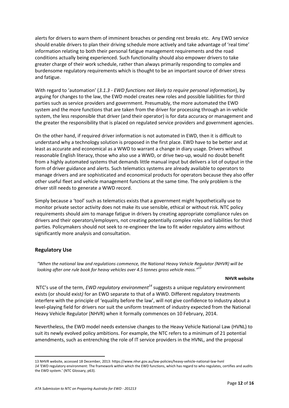alerts for drivers to warn them of imminent breaches or pending rest breaks etc. Any EWD service should enable drivers to plan their driving schedule more actively and take advantage of 'real time' information relating to both their personal fatigue management requirements and the road conditions actually being experienced. Such functionality should also empower drivers to take greater charge of their work schedule, rather than always primarily responding to complex and burdensome regulatory requirements which is thought to be an important source of driver stress and fatigue.

With regard to 'automation' (*3.1.3 - EWD functions not likely to require personal information*), by arguing for changes to the law, the EWD model creates new roles and possible liabilities for third parties such as service providers and government. Presumably, the more automated the EWD system and the more functions that are taken from the driver for processing through an in-vehicle system, the less responsible that driver (and their operator) is for data accuracy or management and the greater the responsibility that is placed on regulated service providers and government agencies.

On the other hand, if required driver information is not automated in EWD, then it is difficult to understand why a technology solution is proposed in the first place. EWD have to be better and at least as accurate and economical as a WWD to warrant a change in diary usage. Drivers without reasonable English literacy, those who also use a WWD, or drive two-up, would no doubt benefit from a highly automated systems that demands little manual input but delivers a lot of output in the form of driver guidance and alerts. Such telematics systems are already available to operators to manage drivers and are sophisticated and economical products for operators because they also offer other useful fleet and vehicle management functions at the same time. The only problem is the driver still needs to generate a WWD record.

Simply because a 'tool' such as telematics exists that a government might hypothetically use to monitor private sector activity does not make its use sensible, ethical or without risk. NTC policy requirements should aim to manage fatigue in drivers by creating appropriate compliance rules on drivers and their operators/employers, not creating potentially complex roles and liabilities for third parties. Policymakers should not seek to re-engineer the law to fit wider regulatory aims without significantly more analysis and consultation.

## **Regulatory Use**

1

 *"When the national law and regulations commence, the National Heavy Vehicle Regulator (NHVR) will be looking after one rule book for heavy vehicles over 4.5 tonnes gross vehicle mass." 13*

#### **NHVR website**

NTC's use of the term, *EWD regulatory environment<sup>14</sup>* suggests a unique regulatory environment exists (or should exist*)* for an EWD separate to that of a WWD. Different regulatory treatments interfere with the principle of 'equality before the law', will not give confidence to industry about a level-playing field for drivers nor suit the uniform treatment of industry expected from the National Heavy Vehicle Regulator (NHVR) when it formally commences on 10 February, 2014.

Nevertheless, the EWD model needs extensive changes to the Heavy Vehicle National Law (HVNL) to suit its newly evolved policy ambitions. For example, the NTC refers to a minimum of 21 potential amendments, such as entrenching the role of IT service providers in the HVNL, and the proposal

<sup>13</sup> NHVR website, accessed 18 December, 2013[: https://www.nhvr.gov.au/law-policies/heavy-vehicle-national-law-hvnl](https://www.nhvr.gov.au/law-policies/heavy-vehicle-national-law-hvnl) *14* 'EWD regulatory environment: The framework within which the EWD functions, which has regard to who regulates, certifies and audits the EWD system.' (NTC Glossary, p63).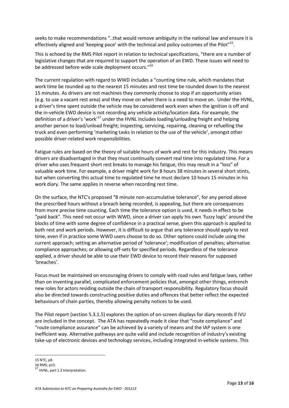seeks to make recommendations "..that would remove ambiguity in the national law and ensure it is effectively aligned and 'keeping pace' with the technical and policy outcomes of the Pilot"<sup>15</sup>.

This is echoed by the RMS Pilot report in relation to technical specifications, "there are a number of legislative changes that are required to support the operation of an EWD. These issues will need to be addressed before wide scale deployment occurs."<sup>16</sup>

The current regulation with regard to WWD includes a "counting time rule, which mandates that work time be rounded up to the nearest 15 minutes and rest time be rounded down to the nearest 15 minutes. As drivers are not machines they commonly choose to stop if an opportunity arises (e.g. to use a vacant rest area) and they move on when there is a need to move on. Under the HVNL, a driver's time spent outside the vehicle may be considered work even when the ignition is off and the in-vehicle EWD device is not recording any vehicle activity/location data. For example, the definition of a driver's 'work<sup>17</sup> under the HVNL includes loading/unloading freight and helping another person to load/unload freight; inspecting, servicing, repairing, cleaning or refuelling the truck and even performing 'marketing tasks in relation to the use of the vehicle', amongst other possible driver-related work responsibilities.

Fatigue rules are based on the theory of suitable hours of work and rest for this industry. This means drivers are disadvantaged in that they must continually convert real time into regulated time. For a driver who uses frequent short rest breaks to manage his fatigue, this may result in a "loss" of valuable work time. For example, a driver might work for 8 hours 38 minutes in several short stints, but when converting this actual time to regulated time he must declare 10 hours 15 minutes in his work diary. The same applies in reverse when recording rest time.

On the surface, the NTC's proposed "8 minute non-accumulative tolerance", for any period above the prescribed hours without a breach being recorded, is appealing, but there are consequences from more precise time counting. Each time the tolerance option is used, it needs in effect to be "paid back". This need not occur with WWD, since a driver can apply his own 'fuzzy logic' around the blocks of time with some degree of confidence in a practical sense, given this approach is applied to both rest and work periods. However, it is difficult to argue that any tolerance should apply to rest time, even if in practice some WWD users choose to do so. Other options could include using the current approach; setting an alternative period of 'tolerance'; modification of penalties; alternative compliance approaches; or allowing off-sets for specified periods. Regardless of the tolerance applied, a driver should be able to use their EWD device to record their reasons for supposed 'breaches'.

Focus must be maintained on encouraging drivers to comply with road rules and fatigue laws, rather than on inventing parallel, complicated enforcement policies that, amongst other things, entrench new roles for actors residing outside the chain of transport responsibility. Regulatory focus should also be directed towards constructing positive duties and offences that better reflect the expected behaviours of chain parties, thereby allowing penalty notices to be used.

The Pilot report (section 5.3.1.5) explores the option of on-screen displays for diary records if IVU are included in the concept. The ATA has repeatedly made it clear that "route compliance" and "route compliance assurance" can be achieved by a variety of means and the IAP system is one inefficient way. Alternative pathways are quite valid and include recognition of industry's existing take-up of electronic devices and technology services, including integrated in-vehicle systems. This

 $\overline{\phantom{a}}$ 

<sup>15</sup> NTC, p8.

<sup>16</sup> RMS, p13.

 $17$  HVNL, part 1.2 Interpretation.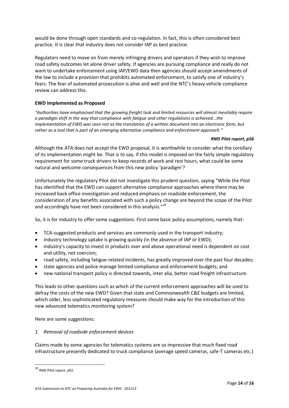would be done through open standards and co-regulation. In fact, this is often considered best practice. It is clear that industry does not consider IAP as best practice.

Regulators need to move on from merely infringing drivers and operators if they wish to improve road safety outcomes let alone driver safety. If agencies are pursuing compliance and really do not want to undertake enforcement using IAP/EWD data then agencies should accept amendments of the law to include a provision that prohibits automated enforcement, to satisfy one of industry's fears. The fear of automated prosecution is alive and well and the NTC's heavy vehicle compliance review can address this.

#### **EWD Implemented as Proposed**

*"Authorities have emphasised that the growing freight task and limited resources will almost inevitably require a paradigm shift in the way that compliance with fatigue and other regulations is achieved...the implementation of EWD was seen not as the translation of a written document into an electronic form, but rather as a tool that is part of an emerging alternative compliance and enforcement approach."*

#### *RMS Pilot report, p56*

Although the ATA does not accept the EWD proposal, it is worthwhile to consider what the corollary of its implementation might be. That is to say, if this model is imposed on the fairly simple regulatory requirement for some truck drivers to keep records of work and rest hours, what could be some natural and welcome consequences from this new policy 'paradigm'?

Unfortunately the regulatory Pilot did not investigate this prudent question, saying "While the Pilot has identified that the EWD can support alternative compliance approaches where there may be increased back office investigation and reduced emphasis on roadside enforcement, the consideration of any benefits associated with such a policy change are beyond the scope of the Pilot and accordingly have not been considered in this analysis."<sup>18</sup>

So, it is for industry to offer some suggestions. First some basic policy assumptions, namely that:

- TCA-suggested products and services are commonly used in the transport industry;
- industry technology uptake is growing quickly (in the absence of IAP or EWD);
- industry's capacity to invest in products over and above operational need is dependent on cost and utility, not coercion;
- road safety, including fatigue-related incidents, has greatly improved over the past four decades;
- state agencies and police manage limited compliance and enforcement budgets; and
- new national transport policy is directed towards, inter alia, better road freight infrastructure.

This leads to other questions such as which of the current enforcement approaches will be used to defray the costs of the new EWD? Given that state and Commonwealth C&E budgets are limited, which older, less sophisticated regulatory measures should make way for the introduction of this new advanced telematics monitoring system?

Here are some suggestions:

#### *1. Removal of roadside enforcement devices*

Claims made by some agencies for telematics systems are so impressive that much fixed road infrastructure presently dedicated to truck compliance (average speed cameras, safe-T cameras etc.)

<sup>18</sup> RMS Pilot report, p92.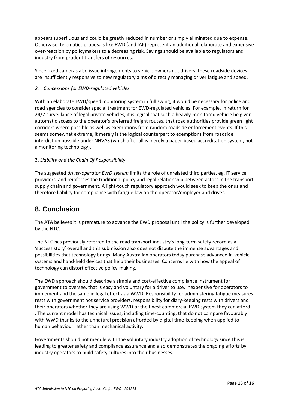appears superfluous and could be greatly reduced in number or simply eliminated due to expense. Otherwise, telematics proposals like EWD (and IAP) represent an additional, elaborate and expensive over-reaction by policymakers to a decreasing risk. Savings should be available to regulators and industry from prudent transfers of resources.

Since fixed cameras also issue infringements to vehicle owners not drivers, these roadside devices are insufficiently responsive to new regulatory aims of directly managing driver fatigue and speed.

## *2. Concessions for EWD-regulated vehicles*

With an elaborate EWD/speed monitoring system in full swing, it would be necessary for police and road agencies to consider special treatment for EWD-regulated vehicles. For example, in return for 24/7 surveillance of legal private vehicles, it is logical that such a heavily-monitored vehicle be given automatic access to the operator's preferred freight routes, that road authorities provide green light corridors where possible as well as exemptions from random roadside enforcement events. If this seems somewhat extreme, it merely is the logical counterpart to exemptions from roadside interdiction possible under NHVAS (which after all is merely a paper-based accreditation system, not a monitoring technology).

### 3. *Liability and the Chain Of Responsibility*

The suggested *driver-operator EWD system* limits the role of unrelated third parties, eg. IT service providers, and reinforces the traditional policy and legal relationship between actors in the transport supply chain and government. A light-touch regulatory approach would seek to keep the onus and therefore liability for compliance with fatigue law on the operator/employer and driver.

## **8. Conclusion**

The ATA believes it is premature to advance the EWD proposal until the policy is further developed by the NTC.

The NTC has previously referred to the road transport industry's long-term safety record as a 'success story' overall and this submission also does not dispute the immense advantages and possibilities that technology brings. Many Australian operators today purchase advanced in-vehicle systems and hand-held devices that help their businesses. Concerns lie with how the appeal of technology can distort effective policy-making.

The EWD approach should describe a simple and cost-effective compliance instrument for government to oversee, that is easy and voluntary for a driver to use, inexpensive for operators to implement and the same in legal effect as a WWD. Responsibility for administering fatigue measures rests with government not service providers, responsibility for diary-keeping rests with drivers and their operators whether they are using WWD or the finest commercial EWD system they can afford. . The current model has technical issues, including time-counting, that do not compare favourably with WWD thanks to the unnatural precision afforded by digital time-keeping when applied to human behaviour rather than mechanical activity.

Governments should not meddle with the voluntary industry adoption of technology since this is leading to greater safety and compliance assurance and also demonstrates the ongoing efforts by industry operators to build safety cultures into their businesses.